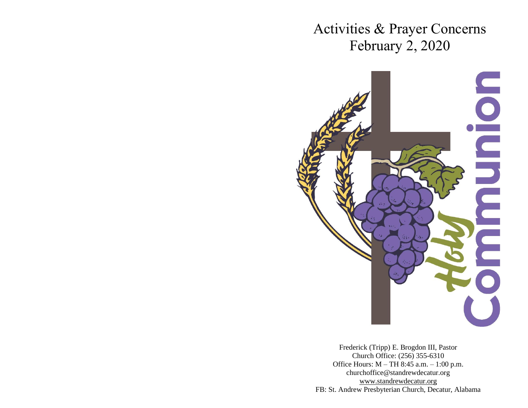Activities & Prayer Concerns February 2, 2020



Frederick (Tripp) E. Brogdon III, Pastor Church Office: (256) 355-6310 Office Hours: M – TH 8:45 a.m. – 1:00 p.m. churchoffice@standrewdecatur.org [www.standrewdecatur.](http://www.standrewdecatur/)org FB: St. Andrew Presbyterian Church, Decatur, Alabama